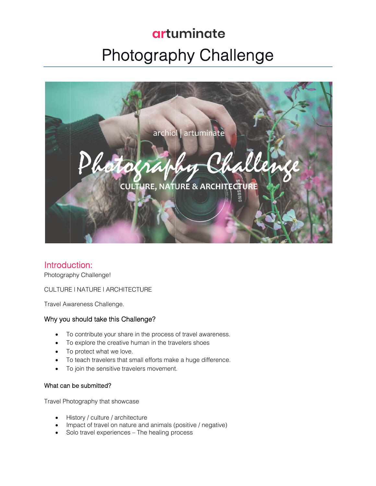# artuminate **Photography Challenge**



#### Introduction:

Photography Challenge!

CULTURE I NATURE I ARCHITECTURE

Travel Awareness Challenge.

#### Why you should take this Challenge?

- To contribute your share in the process of travel awareness.  $\bullet$
- To explore the creative human in the travelers shoes
- To protect what we love.
- To teach travelers that small efforts make a huge difference.
- To join the sensitive travelers movement.  $\bullet$

#### What can be submitted?

Travel Photography that showcase

- History / culture / architecture
- Impact of travel on nature and animals (positive / negative)
- Solo travel experiences The healing process